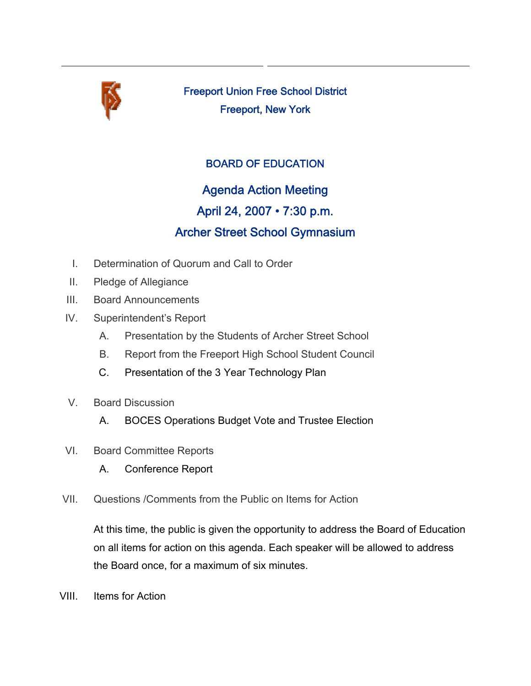

Freeport Union Free School District Freeport, New York

### BOARD OF EDUCATION

## Agenda Action Meeting

## April 24, 2007 • 7:30 p.m.

# Archer Street School Gymnasium

- I. Determination of Quorum and Call to Order
- II. Pledge of Allegiance
- III. Board Announcements
- IV. Superintendent's Report
	- A. Presentation by the Students of Archer Street School
	- B. Report from the Freeport High School Student Council
	- C. Presentation of the 3 Year Technology Plan
- V. Board Discussion
	- A. BOCES Operations Budget Vote and Trustee Election
- VI. Board Committee Reports
	- A. Conference Report
- VII. Questions /Comments from the Public on Items for Action

At this time, the public is given the opportunity to address the Board of Education on all items for action on this agenda. Each speaker will be allowed to address the Board once, for a maximum of six minutes.

VIII. Items for Action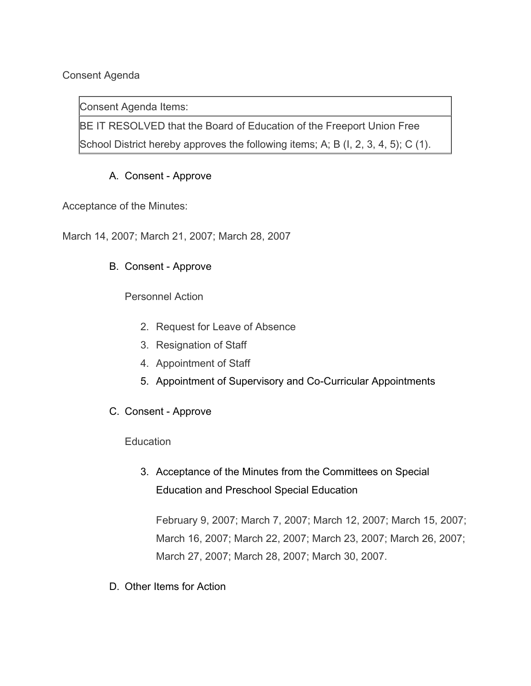#### Consent Agenda

Consent Agenda Items:

BE IT RESOLVED that the Board of Education of the Freeport Union Free School District hereby approves the following items; A; B (I, 2, 3, 4, 5); C (1).

#### A. Consent - Approve

Acceptance of the Minutes:

March 14, 2007; March 21, 2007; March 28, 2007

#### B. Consent - Approve

Personnel Action

- 2. Request for Leave of Absence
- 3. Resignation of Staff
- 4. Appointment of Staff
- 5. Appointment of Supervisory and Co-Curricular Appointments
- C. Consent Approve

**Education** 

3. Acceptance of the Minutes from the Committees on Special Education and Preschool Special Education

February 9, 2007; March 7, 2007; March 12, 2007; March 15, 2007; March 16, 2007; March 22, 2007; March 23, 2007; March 26, 2007; March 27, 2007; March 28, 2007; March 30, 2007.

D. Other Items for Action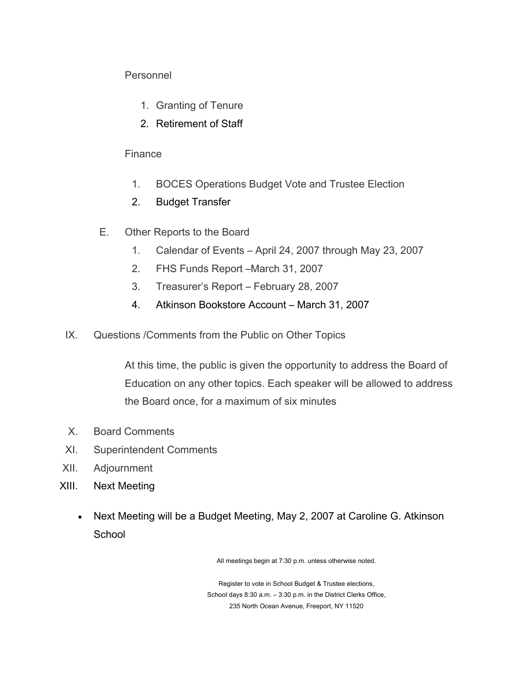#### Personnel

- 1. Granting of Tenure
- 2. Retirement of Staff

#### **Finance**

- 1. BOCES Operations Budget Vote and Trustee Election
- 2. Budget Transfer
- E. Other Reports to the Board
	- 1. Calendar of Events April 24, 2007 through May 23, 2007
	- 2. FHS Funds Report –March 31, 2007
	- 3. Treasurer's Report February 28, 2007
	- 4. Atkinson Bookstore Account March 31, 2007
- IX. Questions /Comments from the Public on Other Topics

At this time, the public is given the opportunity to address the Board of Education on any other topics. Each speaker will be allowed to address the Board once, for a maximum of six minutes

- X. Board Comments
- XI. Superintendent Comments
- XII. Adjournment
- XIII. Next Meeting
	- Next Meeting will be a Budget Meeting, May 2, 2007 at Caroline G. Atkinson **School**

All meetings begin at 7:30 p.m. unless otherwise noted.

Register to vote in School Budget & Trustee elections, School days 8:30 a.m. – 3:30 p.m. in the District Clerks Office, 235 North Ocean Avenue, Freeport, NY 11520